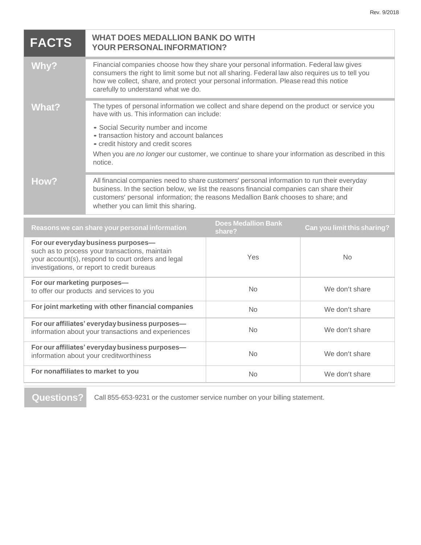| <b>FACTS</b>                                                                                                                                                                               | <b>WHAT DOES MEDALLION BANK DO WITH</b><br><b>YOUR PERSONAL INFORMATION?</b>                                                                                                                                                                                                                                                                                                        |                |                |
|--------------------------------------------------------------------------------------------------------------------------------------------------------------------------------------------|-------------------------------------------------------------------------------------------------------------------------------------------------------------------------------------------------------------------------------------------------------------------------------------------------------------------------------------------------------------------------------------|----------------|----------------|
| <b>Why?</b>                                                                                                                                                                                | Financial companies choose how they share your personal information. Federal law gives<br>consumers the right to limit some but not all sharing. Federal law also requires us to tell you<br>how we collect, share, and protect your personal information. Please read this notice<br>carefully to understand what we do.                                                           |                |                |
| <b>What?</b>                                                                                                                                                                               | The types of personal information we collect and share depend on the product or service you<br>have with us. This information can include:<br>• Social Security number and income<br>• transaction history and account balances<br>- credit history and credit scores<br>When you are no longer our customer, we continue to share your information as described in this<br>notice. |                |                |
| How?                                                                                                                                                                                       | All financial companies need to share customers' personal information to run their everyday<br>business. In the section below, we list the reasons financial companies can share their<br>customers' personal information; the reasons Medallion Bank chooses to share; and<br>whether you can limit this sharing.                                                                  |                |                |
| <b>Does Medallion Bank</b><br>Can you limit this sharing?<br>Reasons we can share your personal information<br>share?                                                                      |                                                                                                                                                                                                                                                                                                                                                                                     |                |                |
| For our everyday business purposes-<br>such as to process your transactions, maintain<br>your account(s), respond to court orders and legal<br>investigations, or report to credit bureaus |                                                                                                                                                                                                                                                                                                                                                                                     | Yes            | N <sub>0</sub> |
| For our marketing purposes-<br>to offer our products and services to you                                                                                                                   |                                                                                                                                                                                                                                                                                                                                                                                     | No             | We don't share |
| For joint marketing with other financial companies                                                                                                                                         |                                                                                                                                                                                                                                                                                                                                                                                     | N <sub>o</sub> | We don't share |
| For our affiliates' everyday business purposes-<br>information about your transactions and experiences                                                                                     |                                                                                                                                                                                                                                                                                                                                                                                     | <b>No</b>      | We don't share |
| For our affiliates' everyday business purposes-<br>information about your creditworthiness                                                                                                 |                                                                                                                                                                                                                                                                                                                                                                                     | <b>No</b>      | We don't share |
| For nonaffiliates to market to you                                                                                                                                                         |                                                                                                                                                                                                                                                                                                                                                                                     | No.            | We don't share |

**Questions?** Call 855-653-9231 or the customer service number on your billing statement.